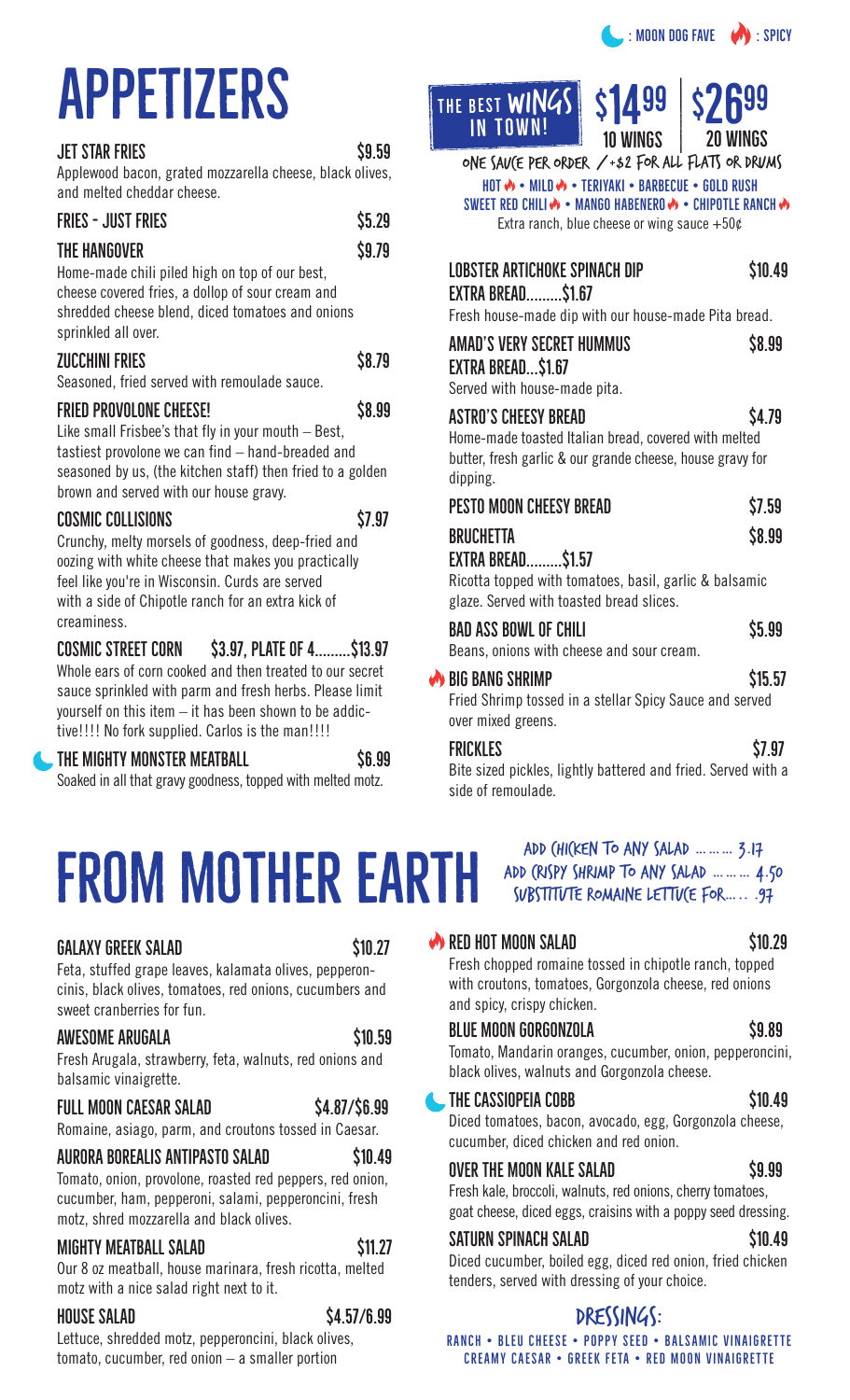# APPETIZERS

| <b>JET STAR FRIES</b>                                                                                                                                                                                                                              | \$9.59 |
|----------------------------------------------------------------------------------------------------------------------------------------------------------------------------------------------------------------------------------------------------|--------|
| Applewood bacon, grated mozzarella cheese, black olives,<br>and melted cheddar cheese.                                                                                                                                                             |        |
| <b>FRIES - JUST FRIES</b>                                                                                                                                                                                                                          | \$5.29 |
| THE HANGOVER<br>Home-made chili piled high on top of our best,<br>cheese covered fries, a dollop of sour cream and<br>shredded cheese blend, diced tomatoes and onions<br>sprinkled all over.                                                      | \$9.79 |
| <b>ZUCCHINI FRIES</b><br>Seasoned, fried served with remoulade sauce.                                                                                                                                                                              | \$8.79 |
| <b>FRIED PROVOLONE CHEESE!</b><br>Like small Frisbee's that fly in your mouth – Best,<br>tastiest provolone we can find – hand-breaded and<br>seasoned by us, (the kitchen staff) then fried to a golden<br>brown and served with our house gravy. | \$8.99 |
| <b>COSMIC COLLISIONS</b><br>Crunchy, melty morsels of goodness, deep-fried and<br>oozing with white cheese that makes you practically                                                                                                              | \$7.97 |

feel like you're in Wisconsin. Curds are served with a side of Chipotle ranch for an extra kick of creaminess.

 $COSMIC$   $SIREET$   $CORN$   $S3.97$ ,  $PLATE$   $OF$   $4$ ........ $$13.97$ Whole ears of corn cooked and then treated to our secret sauce sprinkled with parm and fresh herbs. Please limit yourself on this item – it has been shown to be addictive!!!! No fork supplied. Carlos is the man!!!!

### THE MIGHTY MONSTER MEATBALL S6.99

Soaked in all that gravy goodness, topped with melted motz.

THE BEST WINGS **IN TOWN!** 



 $H$ OT  $\gg$  • MILD  $\gg$  • TERIYAKI • BARBECUE • GOLD RUSH SWEET RED CHILI  $\bigcirc \bullet$  + MANGO HABENERO  $\bigcirc \bullet$  + CHIPOTLE RANCH  $\bigcirc \bullet$ Extra ranch, blue cheese or wing sauce  $+50¢$ one sauce per order / +\$2 for all flats or drums

| LOBSTER ARTICHOKE SPINACH DIP<br><b>EXTRA BREAD\$1.67</b><br>Fresh house-made dip with our house-made Pita bread.                                            | \$10.49 |
|--------------------------------------------------------------------------------------------------------------------------------------------------------------|---------|
| AMAD'S VERY SECRET HUMMUS<br>EXTRA BREAD\$1.67<br>Served with house-made pita.                                                                               | \$8.99  |
| <b>ASTRO'S CHEESY BREAD</b><br>Home-made toasted Italian bread, covered with melted<br>butter, fresh garlic & our grande cheese, house gravy for<br>dipping. | \$4.79  |
| PESTO MOON CHEESY BREAD                                                                                                                                      | \$7.59  |
| <b>BRUCHETTA</b><br><b>EXTRA BREAD\$1.57</b><br>Ricotta topped with tomatoes, basil, garlic & balsamic<br>glaze. Served with toasted bread slices.           | \$8.99  |
| <b>BAD ASS BOWL OF CHILI</b><br>Beans, onions with cheese and sour cream.                                                                                    | \$5.99  |
| BIG BANG SHRIMP<br>Fried Shrimp tossed in a stellar Spicy Sauce and served<br>over mixed greens.                                                             | \$15.57 |
| <b>FRICKLES</b>                                                                                                                                              | S7.97   |

Bite sized pickles, lightly battered and fried. Served with a side of remoulade.

## FROM MOTHER EARTH

### $\overline{510.27}$  6ALAXY GREEK SALAD

Feta, stuffed grape leaves, kalamata olives, pepperoncinis, black olives, tomatoes, red onions, cucumbers and sweet cranberries for fun.

### \$:(620(\$58\*\$/\$ Œŝ

Fresh Arugala, strawberry, feta, walnuts, red onions and balsamic vinaigrette.

### FULL MOON CAESAR SALAD \$4.87/\$6.99

Romaine, asiago, parm, and croutons tossed in Caesar.

### AURORA BOREALIS ANTIPASTO SALAD \$10.49

Tomato, onion, provolone, roasted red peppers, red onion, cucumber, ham, pepperoni, salami, pepperoncini, fresh motz, shred mozzarella and black olives.

### MIGHTY MEATBALL SALAD \$11.27

Our 8 oz meatball, house marinara, fresh ricotta, melted motz with a nice salad right next to it.

### KR NOUSE SALAD \$4.57/6.99

Lettuce, shredded motz, pepperoncini, black olives, tomato, cucumber, red onion – a smaller portion

### Add chicken to any salad ………\$3.17 ADD (RISPY SHRIMP TO ANY SALAD ... ... ... 4.50 SUBSTITUTE ROMAINE LETTUCE FOR..... .97

Fresh chopped romaine tossed in chipotle ranch, topped with croutons, tomatoes, Gorgonzola cheese, red onions and spicy, crispy chicken.

### BLUE MOON GORGONZOLA S9.89

Tomato, Mandarin oranges, cucumber, onion, pepperoncini, black olives, walnuts and Gorgonzola cheese.

### 7HE CASSIOPEIA COBB

Diced tomatoes, bacon, avocado, egg, Gorgonzola cheese, cucumber, diced chicken and red onion.

### OVER THE MOON KALE SALAD \$9.99

Fresh kale, broccoli, walnuts, red onions, cherry tomatoes, goat cheese, diced eggs, craisins with a poppy seed dressing.

### SATURN SPINACH SALAD \$10.49

Diced cucumber, boiled egg, diced red onion, fried chicken tenders, served with dressing of your choice.

### DRESSINGS:

RANCH • BLEU CHEESE • POPPY SEED • BALSAMIC VINAIGRETTE CREAMY CAESAR • GREEK FETA • RED MOON VINAIGRETTE

 $\bullet$  RED HOT MOON SALAD  $\bullet$  510.29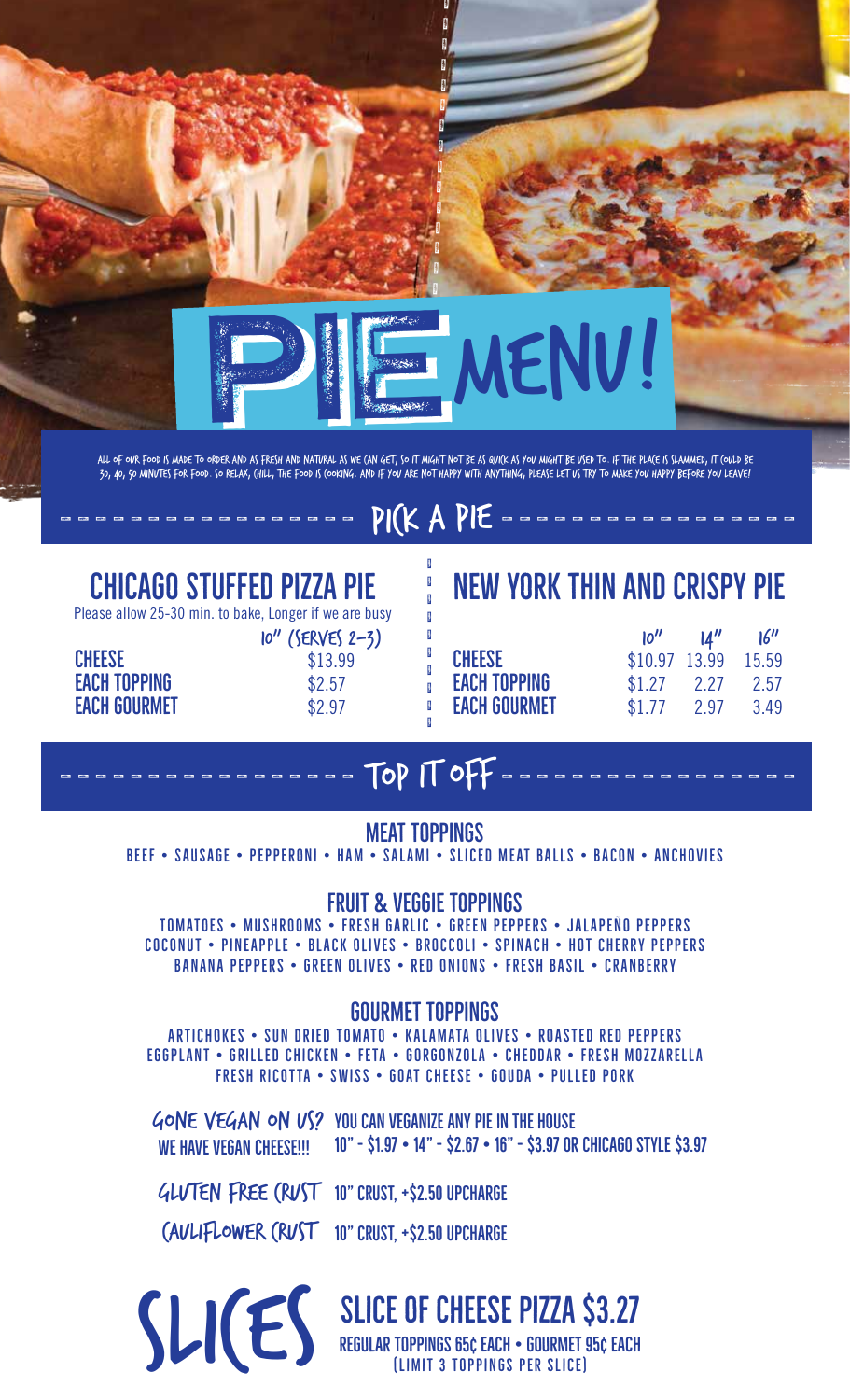

ALL OF OUR FOOD IS MADE TO ORDER AND AS FRESH AND NATURAL AS WE (AN GET, SO IT MIGHT NOT BE AS QUI(K AS YOU MIGHT BE USED TO. IF THE PLA(E IS SLAMMED, IT (OULD BE 30, 40, 50 MINUTES FOR FOOD. SO RELAX, (HILL, THE FOOD IS (OOKING. AND IF YOU ARE NOT HAPPY WITH ANYTHING, PLEASE LET US TRY TO MAKE YOU HAPPY BEFORE YOU LEAVE!

### PICK A PIE

### **CHICAGO STUFFED PIZZA PIE**

Please allow 25-30 min. to bake, Longer if we are busy

| $10''$ (SERVES 2-3) |
|---------------------|
| \$13.99             |
| \$2.57              |
| \$2.97              |
|                     |

### **NEW YORK THIN AND CRISPY PIE**

|                     | 10''           | $\mathbf{M}^{\prime\prime}$ | 16''  |
|---------------------|----------------|-----------------------------|-------|
| <b>CHEESE</b>       | $$10.97$ 13.99 |                             | 15.59 |
| <b>EACH TOPPING</b> | \$1.27         | 2.27                        | 2.57  |
| <b>EACH GOURMET</b> | \$1.77         | 2.97                        | 3.49  |

### TOP IT OFF

### **MEAT TOPPINGS**

BEEF . SAUSAGE . PEPPERONI . HAM . SALAMI . SLICED MEAT BALLS . BACON . ANCHOVIES

### **FRUIT & VEGGIE TOPPINGS**

TOMATOES • MUSHROOMS • FRESH GARLIC • GREEN PEPPERS • JALAPEÑO PEPPERS COCONUT • PINEAPPLE • BLACK OLIVES • BROCCOLI • SPINACH • HOT CHERRY PEPPERS **BANANA PEPPERS • GREEN OLIVES • RED ONIONS • FRESH BASIL • CRANBERRY** 

### **GOURMET TOPPINGS**

ARTICHOKES • SUN DRIED TOMATO • KALAMATA OLIVES • ROASTED RED PEPPERS EGGPLANT • GRILLED CHICKEN • FETA • GORGONZOLA • CHEDDAR • FRESH MOZZARELLA FRESH RICOTTA • SWISS • GOAT CHEESE • GOUDA • PULLED PORK

GONE VEGAN ON US? YOU CAN VEGANIZE ANY PIE IN THE HOUSE WE HAVE VEGAN CHEESE !!! 10" - \$1.97 • 14" - \$2.67 • 16" - \$3.97 OR CHICAGO STYLE \$3.97

GLUTEN FREE (RUST 10" CRUST, +\$2.50 UPCHARGE

(AVLIFLOWER (RVST 10" CRUST, +\$2.50 UPCHARGE

# SLICE OF CHEESE PIZZA \$3.27<br>REGULAR TOPPINGS 65¢ EACH • GOURMET 95¢ EACH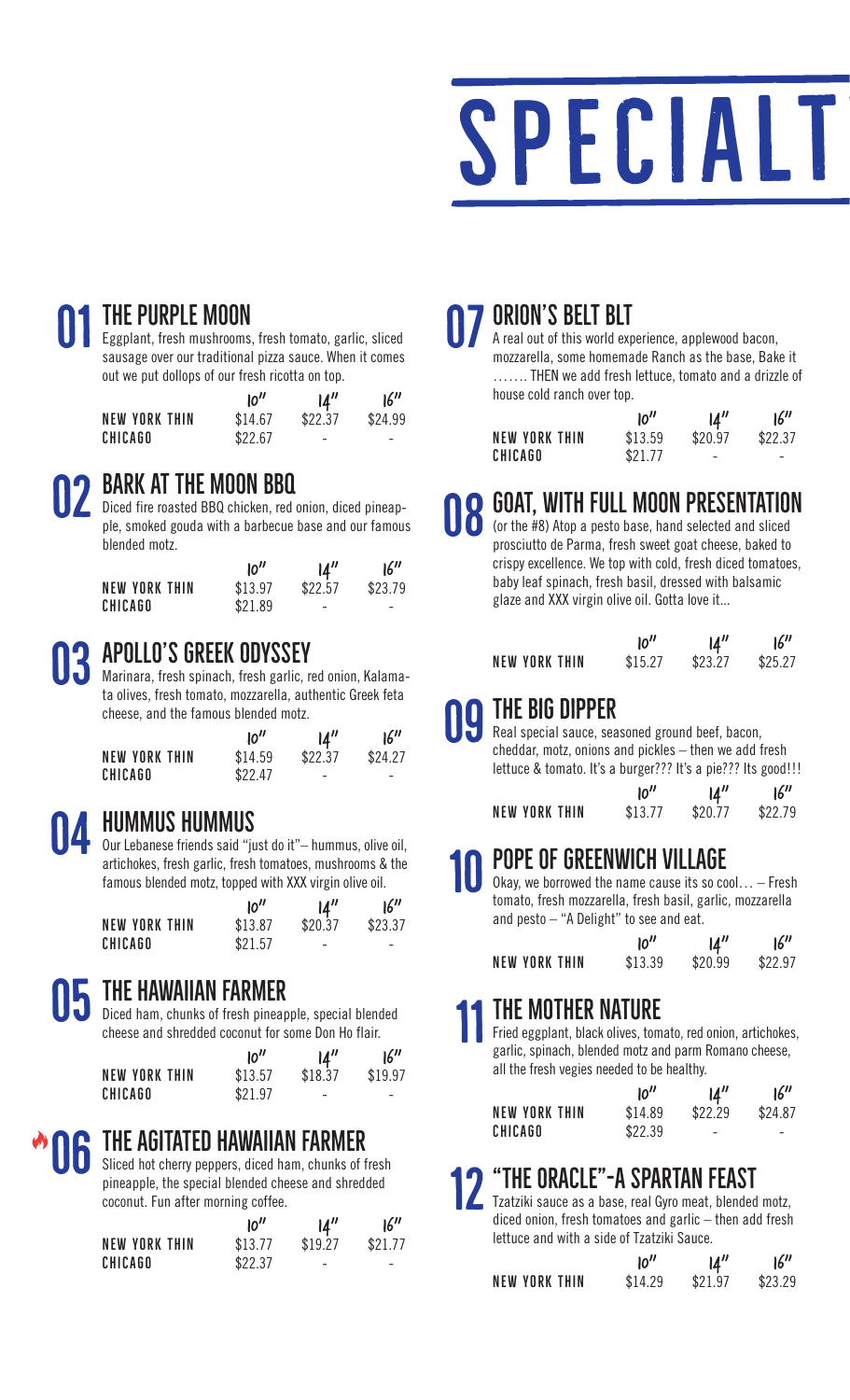

### THE PURPLE MOON 01

Eggplant, fresh mushrooms, fresh tomato, garlic, sliced sausage over our traditional pizza sauce. When it comes out we put dollops of our fresh ricotta on top.

|                      | 10''    | $\mathbf{14}^{\prime\prime}$ | 16''    |
|----------------------|---------|------------------------------|---------|
| <b>NEW YORK THIN</b> | \$14.67 | \$22.37                      | \$24.99 |
| CHICAGO              | \$22.67 | $\overline{\phantom{a}}$     | -       |

### BARK AT THE MOON BBQ O<sub>2</sub>

Diced fire roasted BBQ chicken, red onion, diced pineapple, smoked gouda with a barbecue base and our famous blended motz.

|                      | 10''    | 14''                     | 16''    |
|----------------------|---------|--------------------------|---------|
| <b>NEW YORK THIN</b> | \$13.97 | \$22.57                  | \$23.79 |
| <b>CHICAGO</b>       | \$21.89 | $\overline{\phantom{a}}$ | -       |

### APOLLO'S GREEK ODYSSEY O3

Marinara, fresh spinach, fresh garlic, red onion, Kalamata olives, fresh tomato, mozzarella, authentic Greek feta cheese, and the famous blended motz.

|                      | 10''    | $\mathbf{14}^{\prime\prime}$ | 16''    |
|----------------------|---------|------------------------------|---------|
| <b>NEW YORK THIN</b> | \$14.59 | \$22.37                      | \$24.27 |
| CHICAGO              | \$2247  | $\overline{\phantom{a}}$     |         |

### HUMMUS HUMMUS O4

Our Lebanese friends said "just do it"– hummus, olive oil, artichokes, fresh garlic, fresh tomatoes, mushrooms & the famous blended motz, topped with XXX virgin olive oil.

|               | 10''    | 14''                     | 16''                     |
|---------------|---------|--------------------------|--------------------------|
| NEW YORK THIN | \$13.87 | \$20.37                  | \$23.37                  |
| CHICAGO       | \$21.57 | $\overline{\phantom{a}}$ | $\overline{\phantom{a}}$ |

### THE HAWAIIAN FARMER Ŝ

Diced ham, chunks of fresh pineapple, special blended cheese and shredded coconut for some Don Ho flair.

|                      | 10''    | $\mathcal{U}''$          | 16''    |
|----------------------|---------|--------------------------|---------|
| <b>NEW YORK THIN</b> | \$13.57 | \$18.37                  | \$19.97 |
| <b>CHICAGO</b>       | \$21.97 | $\overline{\phantom{0}}$ | -       |

### THE AGITATED HAWAIIAN FARMER O<sub>6</sub>

Sliced hot cherry peppers, diced ham, chunks of fresh pineapple, the special blended cheese and shredded coconut. Fun after morning coffee.

|                      | 10''    | 14''                     | 16''                     |
|----------------------|---------|--------------------------|--------------------------|
| <b>NEW YORK THIN</b> | \$13.77 | \$19.27                  | \$21.77                  |
| CHICAGO              | \$22.37 | $\overline{\phantom{a}}$ | $\overline{\phantom{0}}$ |

### ORION'S BELT BLT

A real out of this world experience, applewood bacon, mozzarella, some homemade Ranch as the base, Bake it ……. THEN we add fresh lettuce, tomato and a drizzle of house cold ranch over top. **OF PRION'S BELT BLT**<br>A real out of this world experience, applewood bacon,<br>mozzarolla, some bomomade Banch as the base. Bake it

|                      | 10''    | 14''                     | 16''    |
|----------------------|---------|--------------------------|---------|
| <b>NEW YORK THIN</b> | \$13.59 | \$20.97                  | \$22.37 |
| <b>CHICAGO</b>       | \$21.77 | $\overline{\phantom{a}}$ | -       |

### GOAT, WITH FULL MOON PRESENTATION 08

(or the #8) Atop a pesto base, hand selected and sliced prosciutto de Parma, fresh sweet goat cheese, baked to crispy excellence. We top with cold, fresh diced tomatoes, baby leaf spinach, fresh basil, dressed with balsamic glaze and XXX virgin olive oil. Gotta love it...

|               | 10''    | $\mathbf{M}''$ | 16''    |
|---------------|---------|----------------|---------|
| NEW YORK THIN | \$15.27 | \$23.27        | \$25.27 |

### $\parallel$  the Big dipper 09

Real special sauce, seasoned ground beef, bacon, cheddar, motz, onions and pickles – then we add fresh lettuce & tomato. It's a burger??? It's a pie??? Its good!!!

|                      | 10''    | 14''    | 16''    |
|----------------------|---------|---------|---------|
| <b>NEW YORK THIN</b> | \$13.77 | \$20.77 | \$22.79 |

### POPE OF GREENWICH VILLAGE 10

Okay, we borrowed the name cause its so cool… – Fresh tomato, fresh mozzarella, fresh basil, garlic, mozzarella and pesto – "A Delight" to see and eat.

|                      | 10''    | $\mathcal{U}''$ | 16''    |
|----------------------|---------|-----------------|---------|
| <b>NEW YORK THIN</b> | \$13.39 | \$20.99         | \$22.97 |

### THE MOTHER NATURE 11

Fried eggplant, black olives, tomato, red onion, artichokes, garlic, spinach, blended motz and parm Romano cheese, all the fresh vegies needed to be healthy.

|                      | 10''    | 14''                     | 16''                     |
|----------------------|---------|--------------------------|--------------------------|
| <b>NEW YORK THIN</b> | \$14.89 | \$22.29                  | \$24.87                  |
| <b>CHICAGO</b>       | \$22.39 | $\overline{\phantom{0}}$ | $\overline{\phantom{0}}$ |

### THE ORACLE"-A SPARTAN FEAST **12**

Tzatziki sauce as a base, real Gyro meat, blended motz, diced onion, fresh tomatoes and garlic – then add fresh lettuce and with a side of Tzatziki Sauce.

|               | 10''    | $\mathcal{U}''$ | 16''    |
|---------------|---------|-----------------|---------|
| NEW YORK THIN | \$14.29 | \$21.97         | \$23.29 |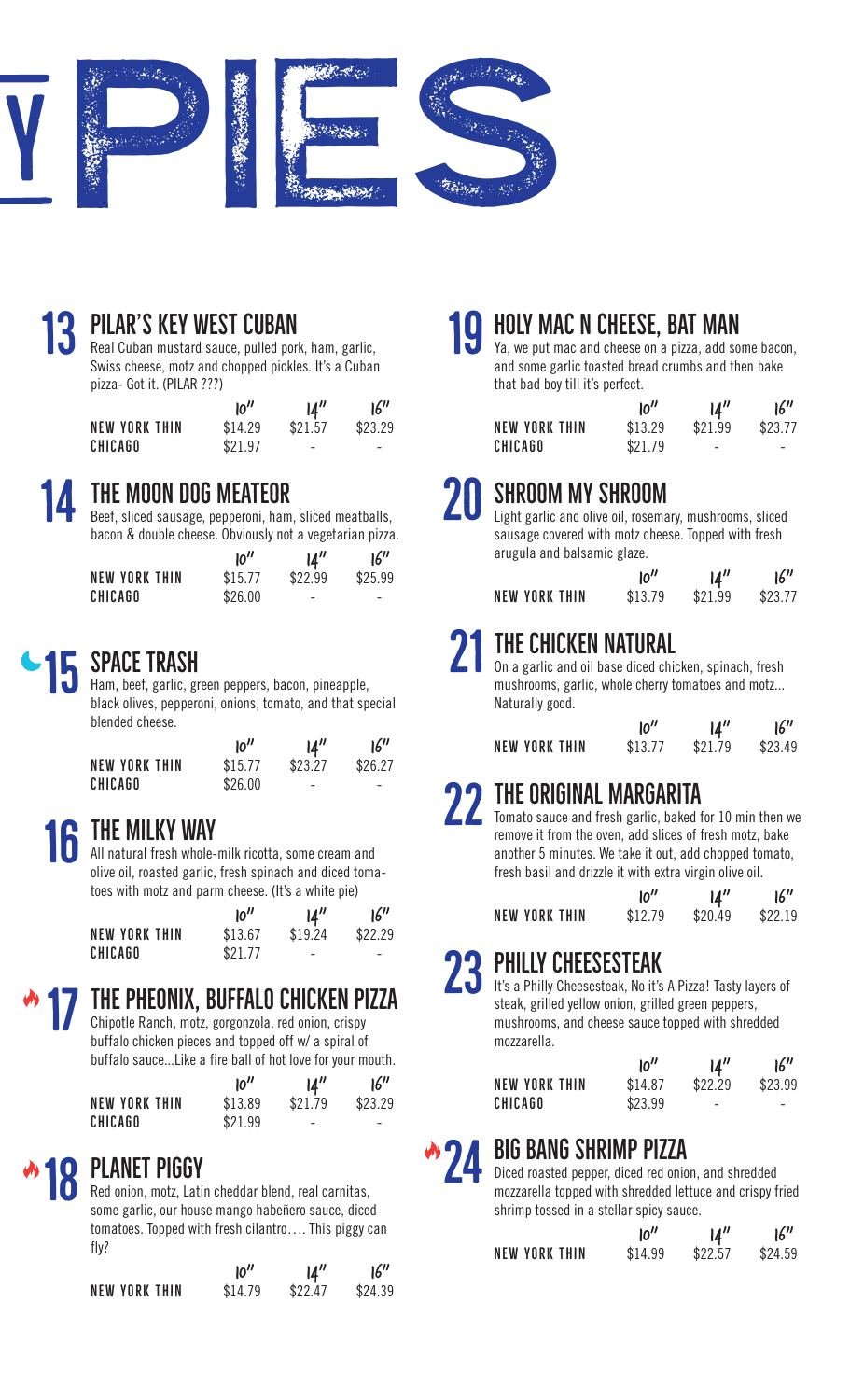

### Ř PILAR'S KEY WEST CUBAN

Real Cuban mustard sauce, pulled pork, ham, garlic, Swiss cheese, motz and chopped pickles. It's a Cuban pizza- Got it. (PILAR ???)

|                      | 10''    | $\mathcal{U}''$ | 16''    |
|----------------------|---------|-----------------|---------|
| <b>NEW YORK THIN</b> | \$14.29 | \$21.57         | \$23.29 |
| <b>CHICAGO</b>       | \$21.97 | -               | -       |

### 14

### THE MOON DOG MEATEOR

Beef, sliced sausage, pepperoni, ham, sliced meatballs, bacon & double cheese. Obviously not a vegetarian pizza.

|               | 10''    | 14''                     | 16''                     |
|---------------|---------|--------------------------|--------------------------|
| NEW YORK THIN | \$15.77 | \$22.99                  | \$25.99                  |
| CHICAGO       | \$26.00 | $\overline{\phantom{0}}$ | $\overline{\phantom{0}}$ |

### Ŝ SPACE TRASH

Ham, beef, garlic, green peppers, bacon, pineapple, black olives, pepperoni, onions, tomato, and that special blended cheese.

|                | 10''    | $\mathbf{14}^{\prime\prime}$ | 16''    |
|----------------|---------|------------------------------|---------|
| NEW YORK THIN  | \$15.77 | \$23.27                      | \$26.27 |
| <b>CHICAGO</b> | \$26.00 | -                            | -       |

### 16 THE MILKY WAY

All natural fresh whole-milk ricotta, some cream and olive oil, roasted garlic, fresh spinach and diced tomatoes with motz and parm cheese. (It's a white pie)

|               | 10''    | $\mathbf{14}^{\prime\prime}$ | 16''                     |
|---------------|---------|------------------------------|--------------------------|
| NEW YORK THIN | \$13.67 | \$19.24                      | \$22.29                  |
| CHICAGO       | \$21.77 | $\overline{\phantom{a}}$     | $\overline{\phantom{a}}$ |

### 17 THE PHEONIX. BUFFALO CHICKEN PIZZA

Chipotle Ranch, motz, gorgonzola, red onion, crispy buffalo chicken pieces and topped off w/ a spiral of buffalo sauce...Like a fire ball of hot love for your mouth.

|               | 10''    | $\mathcal{U}''$ | 16''    |
|---------------|---------|-----------------|---------|
| NEW YORK THIN | \$13.89 | \$21.79         | \$23.29 |
| CHICAGO       | \$21.99 | -               | -       |

### 18 PLANET PIGGY

Red onion, motz, Latin cheddar blend, real carnitas, some garlic, our house mango habeñero sauce, diced tomatoes. Topped with fresh cilantro…. This piggy can fly?

|               | 10''    | $\mathcal{U}''$ | 16''    |
|---------------|---------|-----------------|---------|
| NEW YORK THIN | \$14.79 | \$22.47         | \$24.39 |

### 19 HOLY MAC N CHEESE, BAT MAN

Ya, we put mac and cheese on a pizza, add some bacon, and some garlic toasted bread crumbs and then bake that bad boy till it's perfect.

|                      | 10''    | 14''    | 16''                     |
|----------------------|---------|---------|--------------------------|
| <b>NEW YORK THIN</b> | \$13.29 | \$21.99 | \$23.77                  |
| <b>CHICAGO</b>       | \$21.79 |         | $\overline{\phantom{a}}$ |

### 20 SHROOM MY SHROOM

Light garlic and olive oil, rosemary, mushrooms, sliced sausage covered with motz cheese. Topped with fresh arugula and balsamic glaze.

|                      | 10''    | 14"     | 16''    |
|----------------------|---------|---------|---------|
| <b>NEW YORK THIN</b> | \$13.79 | \$21.99 | \$23.77 |

### 21 THE CHICKEN NATURAL

On a garlic and oil base diced chicken, spinach, fresh mushrooms, garlic, whole cherry tomatoes and motz... Naturally good.

|               | 10''    | 14''    | 16''    |
|---------------|---------|---------|---------|
| NEW YORK THIN | \$13.77 | \$21.79 | \$23.49 |

### Ŗ THE ORIGINAL MARGARITA

Tomato sauce and fresh garlic, baked for 10 min then we remove it from the oven, add slices of fresh motz, bake another 5 minutes. We take it out, add chopped tomato, fresh basil and drizzle it with extra virgin olive oil.

|                      | 10''    | 14''    | 16''    |
|----------------------|---------|---------|---------|
| <b>NEW YORK THIN</b> | \$12.79 | \$20.49 | \$22.19 |

### Ř PHILLY CHEESESTEAK

It's a Philly Cheesesteak, No it's A Pizza! Tasty layers of steak, grilled yellow onion, grilled green peppers, mushrooms, and cheese sauce topped with shredded mozzarella.

|                      | 10''    | $\mathbf{14}^{\prime\prime}$ | 16''                     |
|----------------------|---------|------------------------------|--------------------------|
| <b>NEW YORK THIN</b> | \$14.87 | \$22.29                      | \$23.99                  |
| CHICAGO              | \$23.99 | $\overline{\phantom{a}}$     | $\overline{\phantom{a}}$ |

### 24 BIG BANG SHRIMP PIZZA

Diced roasted pepper, diced red onion, and shredded mozzarella topped with shredded lettuce and crispy fried shrimp tossed in a stellar spicy sauce.

|                      | 10''    | 14''    | 16''    |
|----------------------|---------|---------|---------|
| <b>NEW YORK THIN</b> | \$14.99 | \$22.57 | \$24.59 |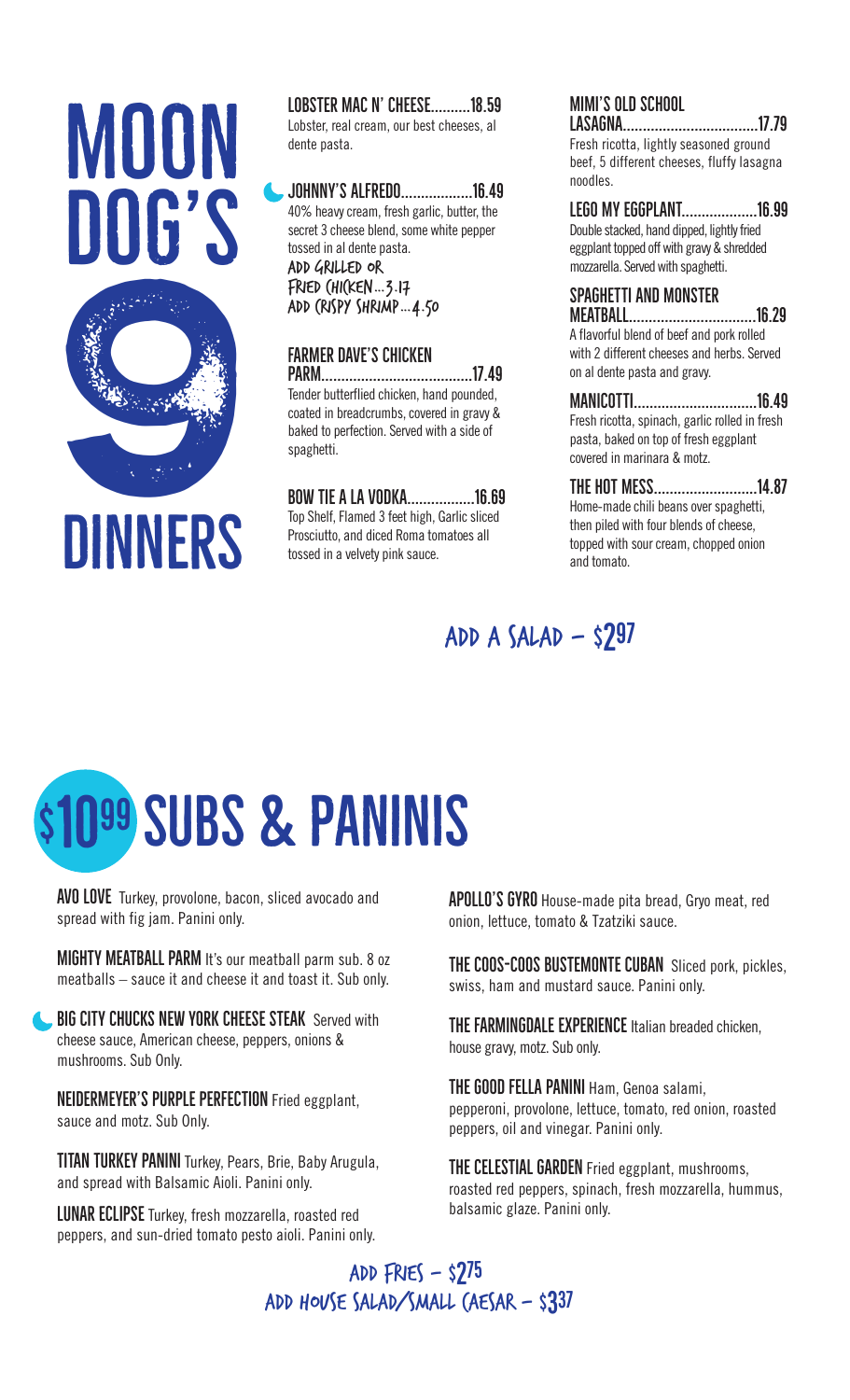# BUD O **MOON** DOG'S

LOBSTER MAC N' CHEESE..........18.59 Lobster, real cream, our best cheeses, al

dente pasta.

. JOHNNY'S ALFREDO....................16.49 40% heavy cream, fresh garlic, butter, the secret 3 cheese blend, some white pepper tossed in al dente pasta. add grilled or  $F$ RIED  $(HI$ (KEN ... 3.17 add crispy shrimp…4.50

### FARMER DAVE'S CHICKEN

3\$50Šś Tender butterflied chicken, hand pounded, coated in breadcrumbs, covered in gravy & baked to perfection. Served with a side of spaghetti.

BOW TIE A LA VODKA..................16.69 Top Shelf, Flamed 3 feet high, Garlic sliced Prosciutto, and diced Roma tomatoes all tossed in a velvety pink sauce.

### MIMI'S OLD SCHOOL

/\$6\$\*1\$Šš Fresh ricotta, lightly seasoned ground beef, 5 different cheeses, fluffy lasagna noodles.

LEGO MY EGGPLANT.......................16.99 Double stacked, hand dipped, lightly fried eggplant topped off with gravy & shredded mozzarella. Served with spaghetti.

### SPAGHETTI AND MONSTER

0(\$7%\$//Şŗ A flavorful blend of beef and pork rolled with 2 different cheeses and herbs. Served on al dente pasta and gravy.

### 0\$1,&277,Şś

Fresh ricotta, spinach, garlic rolled in fresh pasta, baked on top of fresh eggplant covered in marinara & motz.

### THE HOT MESS...........................14.87

Home-made chili beans over spaghetti, then piled with four blends of cheese, topped with sour cream, chopped onion and tomato.

### $ADD A SALAD - $297$

# \$1099 SUBS & PANINIS

**AVO LOVE** Turkey, provolone, bacon, sliced avocado and spread with fig jam. Panini only.

MIGHTY MEATBALL PARM It's our meatball parm sub. 8 oz meatballs – sauce it and cheese it and toast it. Sub only.

**BIG CITY CHUCKS NEW YORK CHEESE STEAK** Served with cheese sauce, American cheese, peppers, onions & mushrooms. Sub Only.

NEIDERMEYER'S PURPLE PERFECTION Fried eggplant, sauce and motz. Sub Only.

TITAN TURKEY PANINI Turkey, Pears, Brie, Baby Arugula, and spread with Balsamic Aioli. Panini only.

LUNAR ECLIPSE Turkey, fresh mozzarella, roasted red peppers, and sun-dried tomato pesto aioli. Panini only. APOLLO'S GYRO House-made pita bread, Gryo meat, red onion, lettuce, tomato & Tzatziki sauce. j

THE COOS-COOS BUSTEMONTE CUBAN Sliced pork, pickles, swiss, ham and mustard sauce. Panini only.

THE FARMINGDALE EXPERIENCE Italian breaded chicken, house gravy, motz. Sub only.

THE GOOD FELLA PANINI Ham, Genoa salami, pepperoni, provolone, lettuce, tomato, red onion, roasted peppers, oil and vinegar. Panini only.

THE CELESTIAL GARDEN Fried eggplant, mushrooms, roasted red peppers, spinach, fresh mozzarella, hummus, balsamic glaze. Panini only.

### ADD  $FNES - S275$ ADD HOUSE SALAD/SMALL (AESAR - \$337